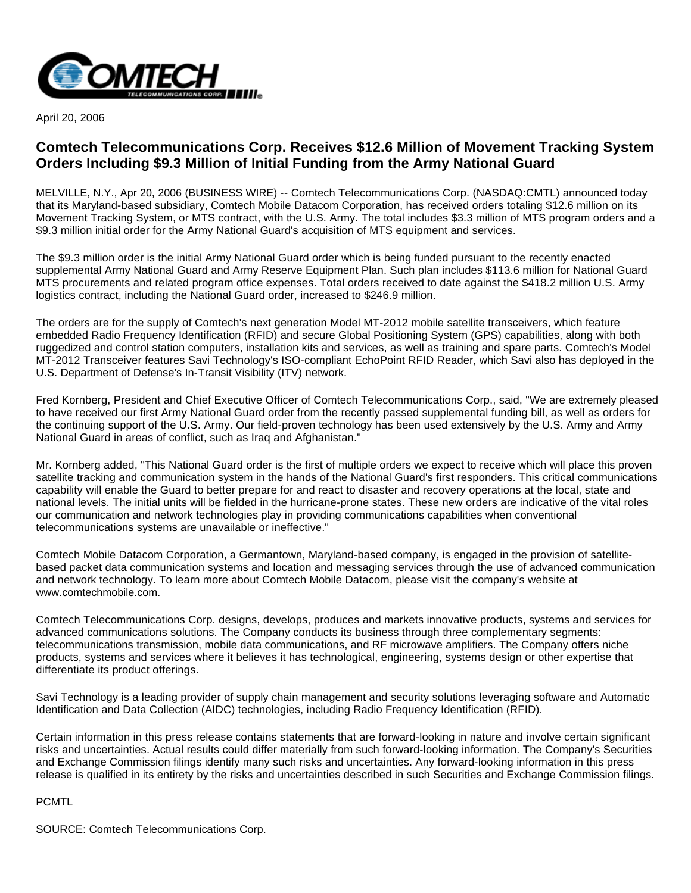

April 20, 2006

## **Comtech Telecommunications Corp. Receives \$12.6 Million of Movement Tracking System Orders Including \$9.3 Million of Initial Funding from the Army National Guard**

MELVILLE, N.Y., Apr 20, 2006 (BUSINESS WIRE) -- Comtech Telecommunications Corp. (NASDAQ:CMTL) announced today that its Maryland-based subsidiary, Comtech Mobile Datacom Corporation, has received orders totaling \$12.6 million on its Movement Tracking System, or MTS contract, with the U.S. Army. The total includes \$3.3 million of MTS program orders and a \$9.3 million initial order for the Army National Guard's acquisition of MTS equipment and services.

The \$9.3 million order is the initial Army National Guard order which is being funded pursuant to the recently enacted supplemental Army National Guard and Army Reserve Equipment Plan. Such plan includes \$113.6 million for National Guard MTS procurements and related program office expenses. Total orders received to date against the \$418.2 million U.S. Army logistics contract, including the National Guard order, increased to \$246.9 million.

The orders are for the supply of Comtech's next generation Model MT-2012 mobile satellite transceivers, which feature embedded Radio Frequency Identification (RFID) and secure Global Positioning System (GPS) capabilities, along with both ruggedized and control station computers, installation kits and services, as well as training and spare parts. Comtech's Model MT-2012 Transceiver features Savi Technology's ISO-compliant EchoPoint RFID Reader, which Savi also has deployed in the U.S. Department of Defense's In-Transit Visibility (ITV) network.

Fred Kornberg, President and Chief Executive Officer of Comtech Telecommunications Corp., said, "We are extremely pleased to have received our first Army National Guard order from the recently passed supplemental funding bill, as well as orders for the continuing support of the U.S. Army. Our field-proven technology has been used extensively by the U.S. Army and Army National Guard in areas of conflict, such as Iraq and Afghanistan."

Mr. Kornberg added, "This National Guard order is the first of multiple orders we expect to receive which will place this proven satellite tracking and communication system in the hands of the National Guard's first responders. This critical communications capability will enable the Guard to better prepare for and react to disaster and recovery operations at the local, state and national levels. The initial units will be fielded in the hurricane-prone states. These new orders are indicative of the vital roles our communication and network technologies play in providing communications capabilities when conventional telecommunications systems are unavailable or ineffective."

Comtech Mobile Datacom Corporation, a Germantown, Maryland-based company, is engaged in the provision of satellitebased packet data communication systems and location and messaging services through the use of advanced communication and network technology. To learn more about Comtech Mobile Datacom, please visit the company's website at www.comtechmobile.com.

Comtech Telecommunications Corp. designs, develops, produces and markets innovative products, systems and services for advanced communications solutions. The Company conducts its business through three complementary segments: telecommunications transmission, mobile data communications, and RF microwave amplifiers. The Company offers niche products, systems and services where it believes it has technological, engineering, systems design or other expertise that differentiate its product offerings.

Savi Technology is a leading provider of supply chain management and security solutions leveraging software and Automatic Identification and Data Collection (AIDC) technologies, including Radio Frequency Identification (RFID).

Certain information in this press release contains statements that are forward-looking in nature and involve certain significant risks and uncertainties. Actual results could differ materially from such forward-looking information. The Company's Securities and Exchange Commission filings identify many such risks and uncertainties. Any forward-looking information in this press release is qualified in its entirety by the risks and uncertainties described in such Securities and Exchange Commission filings.

## PCMTL

SOURCE: Comtech Telecommunications Corp.